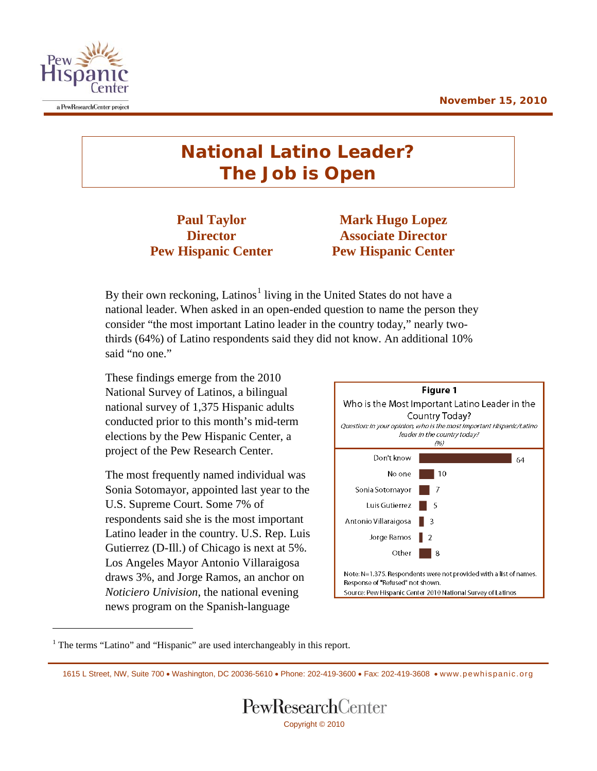

 $\overline{a}$ 

## **National Latino Leader? The Job is Open**

**Pew Hispanic Center Pew Hispanic Center**

**Paul Taylor Mark Hugo Lopez Director Associate Director**

By their own reckoning, Latinos<sup>[1](#page-0-0)</sup> living in the United States do not have a national leader. When asked in an open-ended question to name the person they consider "the most important Latino leader in the country today," nearly twothirds (64%) of Latino respondents said they did not know. An additional 10% said "no one."

These findings emerge from the 2010 National Survey of Latinos, a bilingual national survey of 1,375 Hispanic adults conducted prior to this month's mid-term elections by the Pew Hispanic Center, a project of the Pew Research Center.

The most frequently named individual was Sonia Sotomayor, appointed last year to the U.S. Supreme Court. Some 7% of respondents said she is the most important Latino leader in the country. U.S. Rep. Luis Gutierrez (D-Ill.) of Chicago is next at 5%. Los Angeles Mayor Antonio Villaraigosa draws 3%, and Jorge Ramos, an anchor on *Noticiero Univision*, the national evening news program on the Spanish-language



<span id="page-0-0"></span><sup>1</sup> The terms "Latino" and "Hispanic" are used interchangeably in this report.

<sup>1615</sup> L Street, NW, Suite 700 • Washington, DC 20036-5610 • Phone: 202-419-3600 • Fax: 202-419-3608 • [www.pewhispanic.org](http://www.pewhispanic.org/)

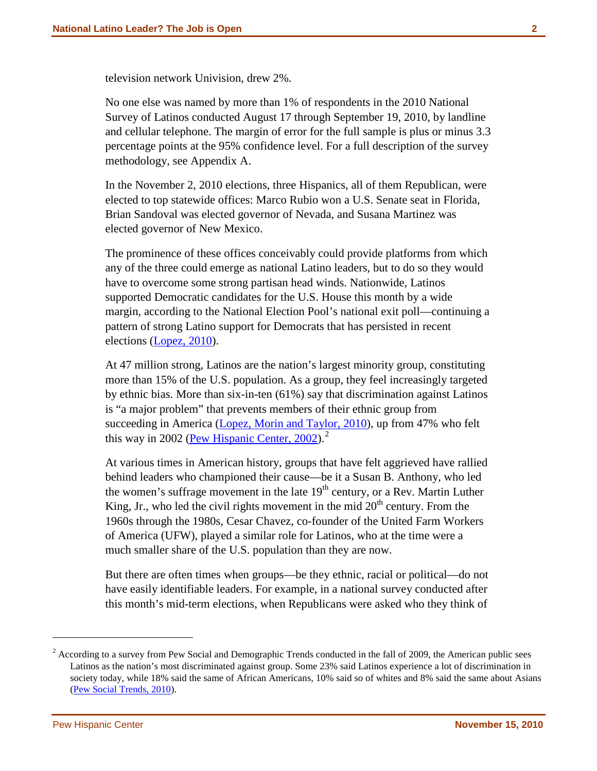television network Univision, drew 2%.

No one else was named by more than 1% of respondents in the 2010 National Survey of Latinos conducted August 17 through September 19, 2010, by landline and cellular telephone. The margin of error for the full sample is plus or minus 3.3 percentage points at the 95% confidence level. For a full description of the survey methodology, see Appendix A.

In the November 2, 2010 elections, three Hispanics, all of them Republican, were elected to top statewide offices: Marco Rubio won a U.S. Senate seat in Florida, Brian Sandoval was elected governor of Nevada, and Susana Martinez was elected governor of New Mexico.

The prominence of these offices conceivably could provide platforms from which any of the three could emerge as national Latino leaders, but to do so they would have to overcome some strong partisan head winds. Nationwide, Latinos supported Democratic candidates for the U.S. House this month by a wide margin, according to the National Election Pool's national exit poll—continuing a pattern of strong Latino support for Democrats that has persisted in recent elections [\(Lopez, 2010\)](http://pewhispanic.org/reports/report.php?ReportID=130).

At 47 million strong, Latinos are the nation's largest minority group, constituting more than 15% of the U.S. population. As a group, they feel increasingly targeted by ethnic bias. More than six-in-ten (61%) say that discrimination against Latinos is "a major problem" that prevents members of their ethnic group from succeeding in America [\(Lopez, Morin and Taylor, 2010\)](http://pewhispanic.org/reports/report.php?ReportID=128), up from 47% who felt this way in 2002 [\(Pew Hispanic Center, 2002\)](http://pewhispanic.org/reports/report.php?ReportID=15).<sup>[2](#page-1-0)</sup>

At various times in American history, groups that have felt aggrieved have rallied behind leaders who championed their cause—be it a Susan B. Anthony, who led the women's suffrage movement in the late  $19<sup>th</sup>$  century, or a Rev. Martin Luther King, Jr., who led the civil rights movement in the mid  $20<sup>th</sup>$  century. From the 1960s through the 1980s, Cesar Chavez, co-founder of the United Farm Workers of America (UFW), played a similar role for Latinos, who at the time were a much smaller share of the U.S. population than they are now.

But there are often times when groups—be they ethnic, racial or political—do not have easily identifiable leaders. For example, in a national survey conducted after this month's mid-term elections, when Republicans were asked who they think of

 $\overline{a}$ 

<span id="page-1-0"></span> $2\text{ According to a survey from }$  Pew Social and Demographic Trends conducted in the fall of 2009, the American public sees Latinos as the nation's most discriminated against group. Some 23% said Latinos experience a lot of discrimination in society today, while 18% said the same of African Americans, 10% said so of whites and 8% said the same about Asians [\(Pew Social Trends, 2010\)](http://pewsocialtrends.org/pubs/749/blacks-upbeat-about-black-progress-obama-election).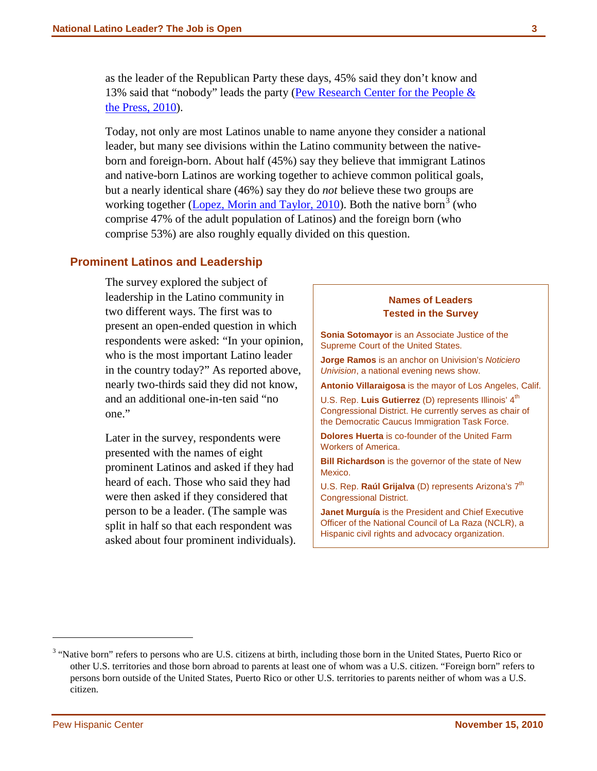as the leader of the Republican Party these days, 45% said they don't know and 13% said that "nobody" leads the party [\(Pew Research Center for the People &](http://people-press.org/report/675/)  [the Press, 2010\)](http://people-press.org/report/675/).

Today, not only are most Latinos unable to name anyone they consider a national leader, but many see divisions within the Latino community between the nativeborn and foreign-born. About half (45%) say they believe that immigrant Latinos and native-born Latinos are working together to achieve common political goals, but a nearly identical share (46%) say they do *not* believe these two groups are working together [\(Lopez, Morin and Taylor, 2010\)](http://pewhispanic.org/reports/report.php?ReportID=128). Both the native born<sup>[3](#page-2-0)</sup> (who comprise 47% of the adult population of Latinos) and the foreign born (who comprise 53%) are also roughly equally divided on this question.

### **Prominent Latinos and Leadership**

The survey explored the subject of leadership in the Latino community in two different ways. The first was to present an open-ended question in which respondents were asked: "In your opinion, who is the most important Latino leader in the country today?" As reported above, nearly two-thirds said they did not know, and an additional one-in-ten said "no one."

Later in the survey, respondents were presented with the names of eight prominent Latinos and asked if they had heard of each. Those who said they had were then asked if they considered that person to be a leader. (The sample was split in half so that each respondent was asked about four prominent individuals).

### **Names of Leaders Tested in the Survey Sonia Sotomayor** is an Associate Justice of the Supreme Court of the United States. **Jorge Ramos** is an anchor on Univision's *Noticiero Univision*, a national evening news show. **Antonio Villaraigosa** is the mayor of Los Angeles, Calif. U.S. Rep. Luis Gutierrez (D) represents Illinois' 4<sup>th</sup> Congressional District. He currently serves as chair of the Democratic Caucus Immigration Task Force. **Dolores Huerta** is co-founder of the United Farm Workers of America. **Bill Richardson** is the governor of the state of New Mexico. U.S. Rep. Raúl Grijalva (D) represents Arizona's 7<sup>th</sup> Congressional District. **Janet Murguía** is the President and Chief Executive Officer of the National Council of La Raza (NCLR), a Hispanic civil rights and advocacy organization.

 $\overline{a}$ 

<span id="page-2-0"></span><sup>&</sup>lt;sup>3</sup> "Native born" refers to persons who are U.S. citizens at birth, including those born in the United States, Puerto Rico or other U.S. territories and those born abroad to parents at least one of whom was a U.S. citizen. "Foreign born" refers to persons born outside of the United States, Puerto Rico or other U.S. territories to parents neither of whom was a U.S. citizen.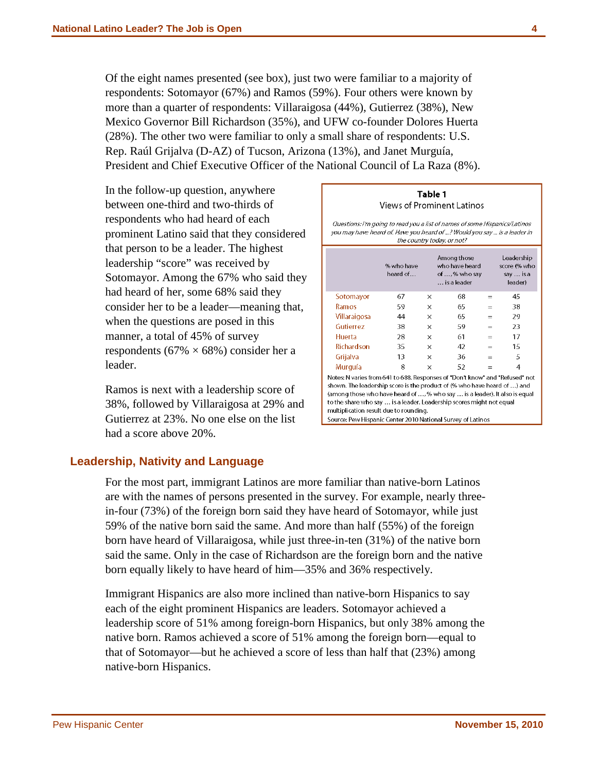Of the eight names presented (see box), just two were familiar to a majority of respondents: Sotomayor (67%) and Ramos (59%). Four others were known by more than a quarter of respondents: Villaraigosa (44%), Gutierrez (38%), New Mexico Governor Bill Richardson (35%), and UFW co-founder Dolores Huerta (28%). The other two were familiar to only a small share of respondents: U.S. Rep. Raúl Grijalva (D-AZ) of Tucson, Arizona (13%), and Janet Murguía, President and Chief Executive Officer of the National Council of La Raza (8%).

In the follow-up question, anywhere between one-third and two-thirds of respondents who had heard of each prominent Latino said that they considered that person to be a leader. The highest leadership "score" was received by Sotomayor. Among the 67% who said they had heard of her, some 68% said they consider her to be a leader—meaning that, when the questions are posed in this manner, a total of 45% of survey respondents (67%  $\times$  68%) consider her a leader.

Ramos is next with a leadership score of 38%, followed by Villaraigosa at 29% and Gutierrez at 23%. No one else on the list had a score above 20%.

|                                                                                                                                                                                                                                                                                                                                                          | % who have<br>heard of |          | Among those<br>who have heard<br>of ,% who say<br>is a leader |     | Leadership<br>score (% who<br>say  is a<br>leader) |  |  |  |  |  |
|----------------------------------------------------------------------------------------------------------------------------------------------------------------------------------------------------------------------------------------------------------------------------------------------------------------------------------------------------------|------------------------|----------|---------------------------------------------------------------|-----|----------------------------------------------------|--|--|--|--|--|
| Sotomayor                                                                                                                                                                                                                                                                                                                                                | 67                     | ×        | 68                                                            | $=$ | 45                                                 |  |  |  |  |  |
| Ramos                                                                                                                                                                                                                                                                                                                                                    | 59                     | ×        | 65                                                            | $=$ | 38                                                 |  |  |  |  |  |
| Villaraigosa                                                                                                                                                                                                                                                                                                                                             | 44                     | ×        | 65                                                            | $=$ | 29                                                 |  |  |  |  |  |
| Gutierrez                                                                                                                                                                                                                                                                                                                                                | 38                     | ×        | 59                                                            | $=$ | 23                                                 |  |  |  |  |  |
| Huerta                                                                                                                                                                                                                                                                                                                                                   | 28                     | ×        | 61                                                            | $=$ | 17                                                 |  |  |  |  |  |
| Richardson                                                                                                                                                                                                                                                                                                                                               | 35                     | ×        | 42                                                            | $=$ | 15                                                 |  |  |  |  |  |
| Grijalva                                                                                                                                                                                                                                                                                                                                                 | 13                     | X        | 36                                                            | $=$ | 5                                                  |  |  |  |  |  |
| Murguía                                                                                                                                                                                                                                                                                                                                                  | 8                      | $\times$ | 52                                                            | $=$ | 4                                                  |  |  |  |  |  |
| Notes: N varies from 641 to 688. Responses of "Don't know" and "Refused" not<br>shown. The leadership score is the product of (% who have heard of ) and<br>(among those who have heard of , % who say  is a leader). It also is equal<br>to the share who say  is a leader. Leadership scores might not equal<br>multiplication result due to rounding. |                        |          |                                                               |     |                                                    |  |  |  |  |  |

Table 1 Views of Prominent Latinos

### **Leadership, Nativity and Language**

For the most part, immigrant Latinos are more familiar than native-born Latinos are with the names of persons presented in the survey. For example, nearly threein-four (73%) of the foreign born said they have heard of Sotomayor, while just 59% of the native born said the same. And more than half (55%) of the foreign born have heard of Villaraigosa, while just three-in-ten (31%) of the native born said the same. Only in the case of Richardson are the foreign born and the native born equally likely to have heard of him—35% and 36% respectively.

Immigrant Hispanics are also more inclined than native-born Hispanics to say each of the eight prominent Hispanics are leaders. Sotomayor achieved a leadership score of 51% among foreign-born Hispanics, but only 38% among the native born. Ramos achieved a score of 51% among the foreign born—equal to that of Sotomayor—but he achieved a score of less than half that (23%) among native-born Hispanics.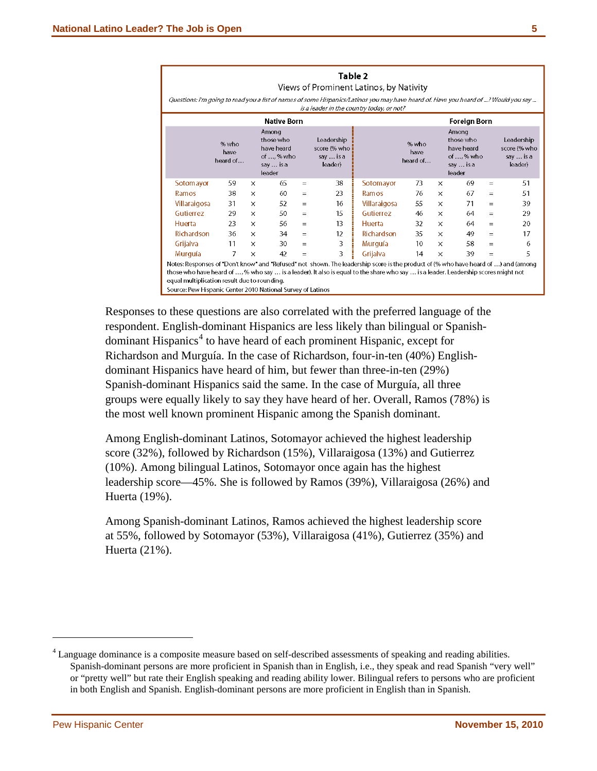|                                                                                                                                                                                                                                                                                                                                                                                        | Table 2<br>Views of Prominent Latinos, by Nativity<br>Questions: I'm going to read you a list of names of some Hispanics/Latinos you may have heard of. Have you heard of ? Would you say<br>is a leader in the country today, or not? |          |                                                                      |     |                                                    |              |                           |          |                                                                      |     |                                                    |
|----------------------------------------------------------------------------------------------------------------------------------------------------------------------------------------------------------------------------------------------------------------------------------------------------------------------------------------------------------------------------------------|----------------------------------------------------------------------------------------------------------------------------------------------------------------------------------------------------------------------------------------|----------|----------------------------------------------------------------------|-----|----------------------------------------------------|--------------|---------------------------|----------|----------------------------------------------------------------------|-----|----------------------------------------------------|
| <b>Foreign Born</b><br><b>Native Born</b>                                                                                                                                                                                                                                                                                                                                              |                                                                                                                                                                                                                                        |          |                                                                      |     |                                                    |              |                           |          |                                                                      |     |                                                    |
|                                                                                                                                                                                                                                                                                                                                                                                        | % who<br>have<br>heard of                                                                                                                                                                                                              |          | Among<br>those who<br>have heard<br>of ,% who<br>say  is a<br>leader |     | Leadership<br>score (% who<br>say  is a<br>leader) |              | % who<br>have<br>heard of |          | Among<br>those who<br>have heard<br>of ,% who<br>say  is a<br>leader |     | Leadership<br>score (% who<br>say  is a<br>leader) |
| <b>Sotomayor</b>                                                                                                                                                                                                                                                                                                                                                                       | 59                                                                                                                                                                                                                                     | $\times$ | 65                                                                   | $=$ | 38                                                 | Sotomayor    | 73                        | $\times$ | 69                                                                   | $=$ | 51                                                 |
| Ramos                                                                                                                                                                                                                                                                                                                                                                                  | 38                                                                                                                                                                                                                                     | $\times$ | 60                                                                   | $=$ | 23                                                 | Ramos        | 76                        | $\times$ | 67                                                                   | $=$ | 51                                                 |
| Villaraigosa                                                                                                                                                                                                                                                                                                                                                                           | 31                                                                                                                                                                                                                                     | X        | 52                                                                   | $=$ | 16                                                 | Villaraigosa | 55                        | $\times$ | 71                                                                   | $=$ | 39                                                 |
| Gutierrez                                                                                                                                                                                                                                                                                                                                                                              | 29                                                                                                                                                                                                                                     | X        | 50                                                                   | $=$ | 15                                                 | Gutierrez    | 46                        | $\times$ | 64                                                                   | $=$ | 29                                                 |
| Huerta                                                                                                                                                                                                                                                                                                                                                                                 | 23                                                                                                                                                                                                                                     | X        | 56                                                                   | $=$ | 13                                                 | Huerta       | 32                        | $\times$ | 64                                                                   | $=$ | 20                                                 |
| Richardson                                                                                                                                                                                                                                                                                                                                                                             | 36                                                                                                                                                                                                                                     | $\times$ | 34                                                                   | $=$ | 12                                                 | Richardson   | 35                        | $\times$ | 49                                                                   | $=$ | 17                                                 |
| Grijalva                                                                                                                                                                                                                                                                                                                                                                               | 11                                                                                                                                                                                                                                     | $\times$ | 30                                                                   | $=$ | 3                                                  | Murguía      | 10                        | $\times$ | 58                                                                   | $=$ | 6                                                  |
| Murguía                                                                                                                                                                                                                                                                                                                                                                                | 7                                                                                                                                                                                                                                      | ×        | 42                                                                   | $=$ | 3                                                  | Grijalva     | 14                        | $\times$ | 39                                                                   | $=$ | 5                                                  |
| Notes: Responses of "Don't know" and "Refused" not shown. The leadership score is the product of (% who have heard of ) and (among<br>those who have heard of ,% who say  is a leader). It also is equal to the share who say  is a leader. Leadership scores might not<br>equal multiplication result due to rounding.<br>Source: Pew Hispanic Center 2010 National Survey of Latinos |                                                                                                                                                                                                                                        |          |                                                                      |     |                                                    |              |                           |          |                                                                      |     |                                                    |

Responses to these questions are also correlated with the preferred language of the respondent. English-dominant Hispanics are less likely than bilingual or Spanish-dominant Hispanics<sup>[4](#page-4-0)</sup> to have heard of each prominent Hispanic, except for Richardson and Murguía. In the case of Richardson, four-in-ten (40%) Englishdominant Hispanics have heard of him, but fewer than three-in-ten (29%) Spanish-dominant Hispanics said the same. In the case of Murguía, all three groups were equally likely to say they have heard of her. Overall, Ramos (78%) is the most well known prominent Hispanic among the Spanish dominant.

Among English-dominant Latinos, Sotomayor achieved the highest leadership score (32%), followed by Richardson (15%), Villaraigosa (13%) and Gutierrez (10%). Among bilingual Latinos, Sotomayor once again has the highest leadership score—45%. She is followed by Ramos (39%), Villaraigosa (26%) and Huerta (19%).

Among Spanish-dominant Latinos, Ramos achieved the highest leadership score at 55%, followed by Sotomayor (53%), Villaraigosa (41%), Gutierrez (35%) and Huerta (21%).

 $\overline{a}$ 

<span id="page-4-0"></span><sup>4</sup> Language dominance is a composite measure based on self-described assessments of speaking and reading abilities. Spanish-dominant persons are more proficient in Spanish than in English, i.e., they speak and read Spanish "very well" or "pretty well" but rate their English speaking and reading ability lower. Bilingual refers to persons who are proficient in both English and Spanish. English-dominant persons are more proficient in English than in Spanish.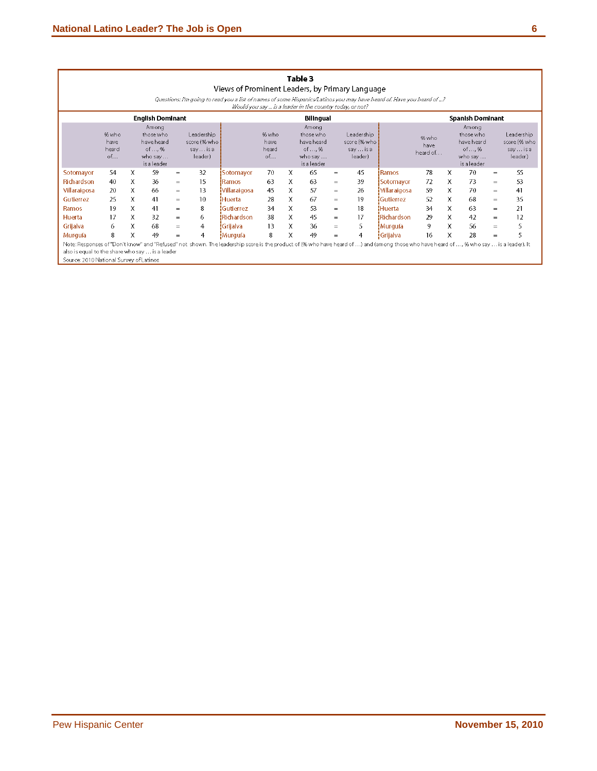|                                                                                                                                                                                                                                                                                       | Table 3<br>Views of Prominent Leaders, by Primary Language                                                                                                                                                                                                                                                                                                                                                                                                                    |   |    |     |    |                     |    |   |    |     |                |                    |    |   |    |     |    |
|---------------------------------------------------------------------------------------------------------------------------------------------------------------------------------------------------------------------------------------------------------------------------------------|-------------------------------------------------------------------------------------------------------------------------------------------------------------------------------------------------------------------------------------------------------------------------------------------------------------------------------------------------------------------------------------------------------------------------------------------------------------------------------|---|----|-----|----|---------------------|----|---|----|-----|----------------|--------------------|----|---|----|-----|----|
|                                                                                                                                                                                                                                                                                       | Questions: I'm going to read you a list of names of some Hispanics/Latinos you may have heard of. Have you heard of ?<br>Would you say is a leader in the country today, or not?                                                                                                                                                                                                                                                                                              |   |    |     |    |                     |    |   |    |     |                |                    |    |   |    |     |    |
| <b>English Dominant</b><br><b>Bilingual</b><br><b>Spanish Dominant</b>                                                                                                                                                                                                                |                                                                                                                                                                                                                                                                                                                                                                                                                                                                               |   |    |     |    |                     |    |   |    |     |                |                    |    |   |    |     |    |
|                                                                                                                                                                                                                                                                                       | Amona<br>Among<br>Amona<br>% who<br>Leadership<br>Leadership<br>those who<br>Leadership<br>% who<br>those who<br>those who<br>% who<br>score (% who<br>score (% who<br>score (% who<br>have heard<br>have heard<br>have heard<br>have<br>have<br>have<br>of,%<br>of , %<br>of , %<br>heard<br>say  is a<br>heard<br>sayis a<br>sayis a<br>heard of<br>of<br>of<br>leader)<br>leader)<br>leader)<br>who say<br>who say<br>who say<br>is a leader<br>is a leader<br>is a leader |   |    |     |    |                     |    |   |    |     |                |                    |    |   |    |     |    |
| Sotomayor                                                                                                                                                                                                                                                                             | 54                                                                                                                                                                                                                                                                                                                                                                                                                                                                            | X | 59 | $=$ | 32 | Sotomayor           | 70 | X | 65 | $=$ | 45             | Ramos              | 78 | x | 70 | $=$ | 55 |
| <b>Richardson</b>                                                                                                                                                                                                                                                                     | 40                                                                                                                                                                                                                                                                                                                                                                                                                                                                            | X | 36 | $=$ | 15 | <b>IRamos</b>       | 63 | X | 63 | $=$ | 39             | <b>!</b> Sotomavor | 72 | x | 73 | $=$ | 53 |
| Villaraigosa                                                                                                                                                                                                                                                                          | 20                                                                                                                                                                                                                                                                                                                                                                                                                                                                            | Χ | 66 | $=$ | 13 | <b>Villaraigosa</b> | 45 | Χ | 57 | $=$ | 26             | <b>Mlaraigosa</b>  | 59 | X | 70 | $=$ | 41 |
| Gutierrez                                                                                                                                                                                                                                                                             | 25                                                                                                                                                                                                                                                                                                                                                                                                                                                                            | X | 41 | $=$ | 10 | <b>Huerta</b>       | 28 | X | 67 | $=$ | 19             | <b>Gutierrez</b>   | 52 | X | 68 | $=$ | 35 |
| <b>Ramos</b>                                                                                                                                                                                                                                                                          | 19                                                                                                                                                                                                                                                                                                                                                                                                                                                                            | X | 41 | $=$ | 8  | ¦Gutierrez          | 34 | Χ | 53 | $=$ | 18             | Huerta             | 34 | x | 63 | $=$ | 21 |
| Huerta                                                                                                                                                                                                                                                                                | 17                                                                                                                                                                                                                                                                                                                                                                                                                                                                            | X | 32 | $=$ | 6  | <b>Richardson</b>   | 38 | X | 45 | $=$ | 17             | !Richardson        | 29 | X | 42 | $=$ | 12 |
| Grijalva                                                                                                                                                                                                                                                                              | 6                                                                                                                                                                                                                                                                                                                                                                                                                                                                             | X | 68 | $=$ | 4  | İGrijalva i         | 13 | X | 36 | $=$ | 5              | !Murgufa           | 9  | X | 56 | $=$ | 5  |
| Murguía                                                                                                                                                                                                                                                                               | 8                                                                                                                                                                                                                                                                                                                                                                                                                                                                             | X | 49 | $=$ | 4  | !Murquía            | 8  | X | 49 | $=$ | $\overline{4}$ | <b>S</b> Grijalva  | 16 | X | 28 | $=$ | 5  |
| Note: Responses of "Don't know" and "Refused" not shown. The leadership score is the product of (% who have heard of ) and (among those who have heard of , % who say  is a leader). It<br>also is equal to the share who say  is a leader<br>Source: 2010 National Survey of Latinos |                                                                                                                                                                                                                                                                                                                                                                                                                                                                               |   |    |     |    |                     |    |   |    |     |                |                    |    |   |    |     |    |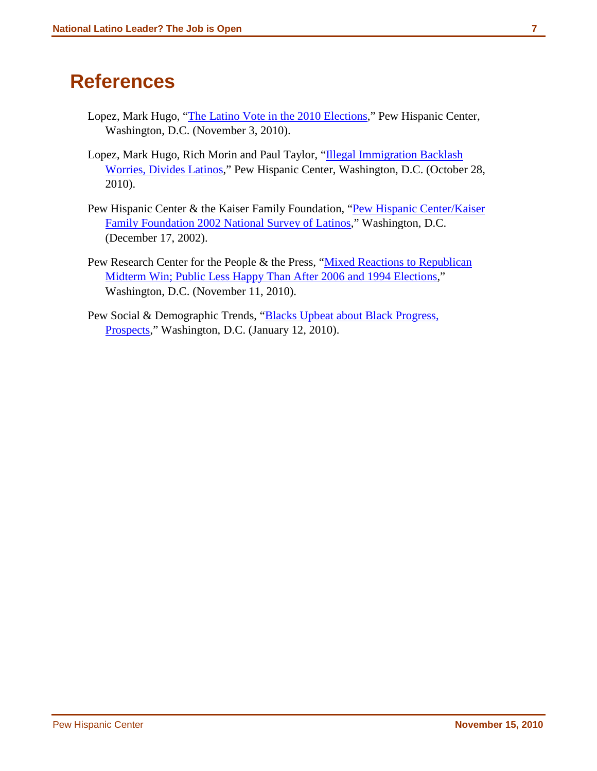### **References**

- Lopez, Mark Hugo, ["The Latino Vote in the 2010 Elections,](http://pewhispanic.org/reports/report.php?ReportID=130)" Pew Hispanic Center, Washington, D.C. (November 3, 2010).
- Lopez, Mark Hugo, Rich Morin and Paul Taylor, "Illegal Immigration Backlash [Worries, Divides Latinos,](http://pewhispanic.org/reports/report.php?ReportID=128)" Pew Hispanic Center, Washington, D.C. (October 28, 2010).
- Pew Hispanic Center & the Kaiser Family Foundation, "Pew Hispanic Center/Kaiser [Family Foundation 2002 National Survey of Latinos,](http://pewhispanic.org/reports/report.php?ReportID=15)" Washington, D.C. (December 17, 2002).
- Pew Research Center for the People & the Press, "Mixed Reactions to Republican [Midterm Win; Public Less Happy Than After 2006 and 1994 Elections,](http://people-press.org/report/675/)" Washington, D.C. (November 11, 2010).
- Pew Social & Demographic Trends, ["Blacks Upbeat about Black Progress,](http://pewsocialtrends.org/pubs/749/blacks-upbeat-about-black-progress-obama-election)  [Prospects,](http://pewsocialtrends.org/pubs/749/blacks-upbeat-about-black-progress-obama-election)" Washington, D.C. (January 12, 2010).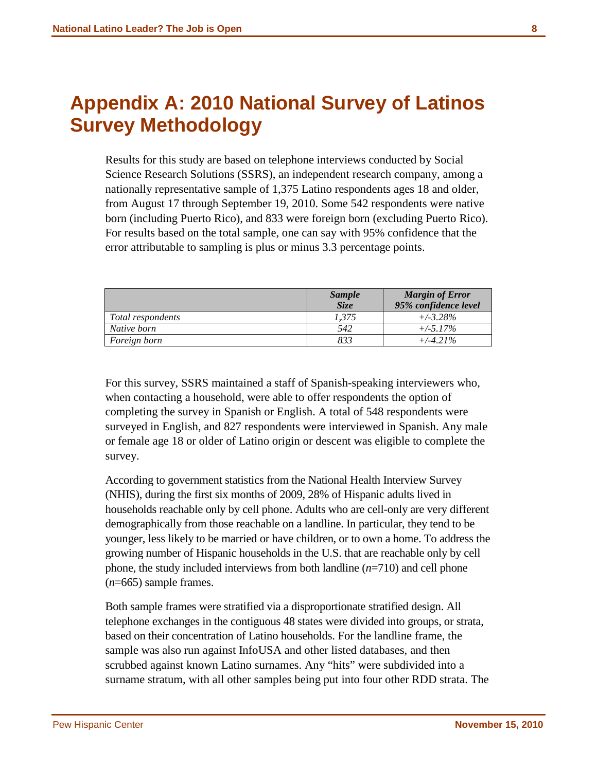## **Appendix A: 2010 National Survey of Latinos Survey Methodology**

Results for this study are based on telephone interviews conducted by Social Science Research Solutions (SSRS), an independent research company, among a nationally representative sample of 1,375 Latino respondents ages 18 and older, from August 17 through September 19, 2010. Some 542 respondents were native born (including Puerto Rico), and 833 were foreign born (excluding Puerto Rico). For results based on the total sample, one can say with 95% confidence that the error attributable to sampling is plus or minus 3.3 percentage points.

|                   | <b>Sample</b><br>Size | <b>Margin of Error</b><br>95% confidence level |
|-------------------|-----------------------|------------------------------------------------|
| Total respondents | 1,375                 | $+/-3.28\%$                                    |
| Native born       | 542                   | $+/-5.17\%$                                    |
| Foreign born      | 833                   | $+/-4.21\%$                                    |

For this survey, SSRS maintained a staff of Spanish-speaking interviewers who, when contacting a household, were able to offer respondents the option of completing the survey in Spanish or English. A total of 548 respondents were surveyed in English, and 827 respondents were interviewed in Spanish. Any male or female age 18 or older of Latino origin or descent was eligible to complete the survey.

According to government statistics from the National Health Interview Survey (NHIS), during the first six months of 2009, 28% of Hispanic adults lived in households reachable only by cell phone. Adults who are cell-only are very different demographically from those reachable on a landline. In particular, they tend to be younger, less likely to be married or have children, or to own a home. To address the growing number of Hispanic households in the U.S. that are reachable only by cell phone, the study included interviews from both landline (*n*=710) and cell phone (*n*=665) sample frames.

Both sample frames were stratified via a disproportionate stratified design. All telephone exchanges in the contiguous 48 states were divided into groups, or strata, based on their concentration of Latino households. For the landline frame, the sample was also run against InfoUSA and other listed databases, and then scrubbed against known Latino surnames. Any "hits" were subdivided into a surname stratum, with all other samples being put into four other RDD strata. The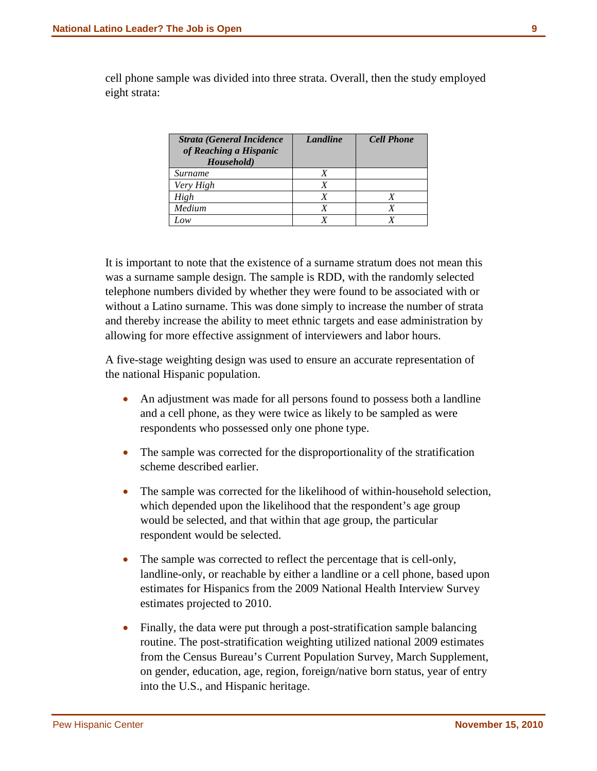cell phone sample was divided into three strata. Overall, then the study employed eight strata:

| <b>Strata (General Incidence)</b><br>of Reaching a Hispanic<br>Household) | Landline | <b>Cell Phone</b> |
|---------------------------------------------------------------------------|----------|-------------------|
| Surname                                                                   |          |                   |
| Very High                                                                 |          |                   |
| High                                                                      |          |                   |
| Medium                                                                    |          |                   |
| oи                                                                        |          |                   |

It is important to note that the existence of a surname stratum does not mean this was a surname sample design. The sample is RDD, with the randomly selected telephone numbers divided by whether they were found to be associated with or without a Latino surname. This was done simply to increase the number of strata and thereby increase the ability to meet ethnic targets and ease administration by allowing for more effective assignment of interviewers and labor hours.

A five-stage weighting design was used to ensure an accurate representation of the national Hispanic population.

- An adjustment was made for all persons found to possess both a landline and a cell phone, as they were twice as likely to be sampled as were respondents who possessed only one phone type.
- The sample was corrected for the disproportionality of the stratification scheme described earlier.
- The sample was corrected for the likelihood of within-household selection, which depended upon the likelihood that the respondent's age group would be selected, and that within that age group, the particular respondent would be selected.
- The sample was corrected to reflect the percentage that is cell-only, landline-only, or reachable by either a landline or a cell phone, based upon estimates for Hispanics from the 2009 National Health Interview Survey estimates projected to 2010.
- Finally, the data were put through a post-stratification sample balancing routine. The post-stratification weighting utilized national 2009 estimates from the Census Bureau's Current Population Survey, March Supplement, on gender, education, age, region, foreign/native born status, year of entry into the U.S., and Hispanic heritage.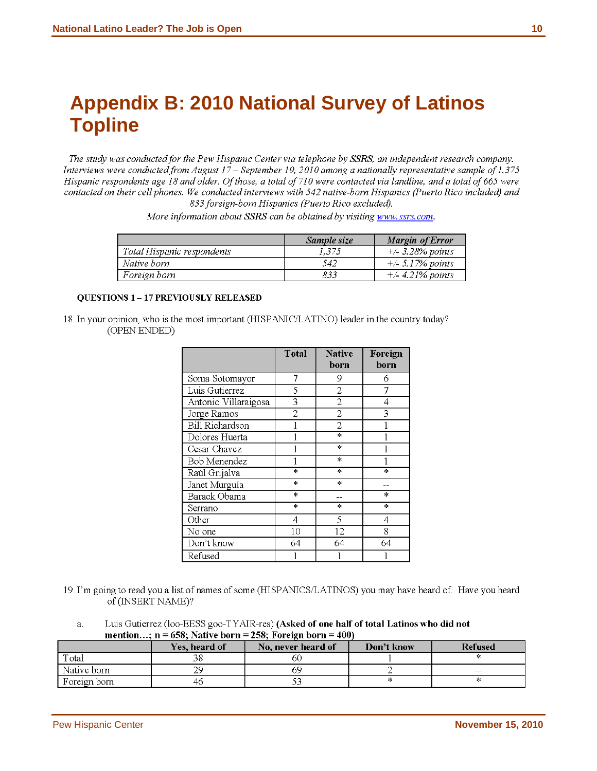# **Appendix B: 2010 National Survey of Latinos Topline**

The study was conducted for the Pew Hispanic Center via telephone by SSRS, an independent research company. Interviews were conducted from August 17 – September 19, 2010 among a nationally representative sample of 1,375 Hispanic respondents age 18 and older. Of those, a total of 710 were contacted via landline, and a total of 665 were contacted on their cell phones. We conducted interviews with 542 native-born Hispanics (Puerto Rico included) and 833 foreign-born Hispanics (Puerto Rico excluded).

More information about SSRS can be obtained by visiting www.ssrs.com.

|                            | Sample size | Margin of Error     |
|----------------------------|-------------|---------------------|
| Total Hispanic respondents | 1.375       | $+/- 3.28\%$ points |
| Native born                | 542         | $+/- 5.17%$ points  |
| Foreign born               | 833         | $+/- 4.21%$ points  |

#### **OUESTIONS 1-17 PREVIOUSLY RELEASED**

18. In your opinion, who is the most important (HISPANIC/LATINO) leader in the country today? (OPEN ENDED)

|                        | Total          | <b>Native</b><br>born | Foreign<br>born |
|------------------------|----------------|-----------------------|-----------------|
| Sonia Sotomayor        | 7              | 9                     | 6               |
| Luis Gutierrez         | 5              | 2                     |                 |
| Antonio Villaraigosa   | 3              | 2                     | 4               |
| Jorge Ramos            | $\overline{2}$ | $\overline{2}$        | 3               |
| <b>Bill Richardson</b> |                | 2                     |                 |
| Dolores Huerta         |                | $\ast$                |                 |
| Cesar Chavez           |                | $\mathbb H$           |                 |
| Bob Menendez           |                | $\mathbf{R}$          |                 |
| Raúl Grijalva          | $\ast$         | ж                     | $\star$         |
| Janet Murguía          | $\mathbf{R}$   | $\pm$                 |                 |
| Barack Obama           | $\mathcal{H}$  |                       | $\pm$           |
| Serrano                | ж              | $\mathcal{H}$         | ж               |
| Other                  | 4              | 5                     | 4               |
| No one                 | 10             | 12                    | 8               |
| Don't know             | 64             | 64                    | 64              |
| Refused                |                |                       |                 |

19. I'm going to read you a list of names of some (HISPANICS/LATINOS) you may have heard of. Have you heard of (INSERT NAME)?

Luis Gutierrez (loo-EESS goo-TYAIR-res) (Asked of one half of total Latinos who did not a. mention...;  $n = 658$ ; Native born = 258; Foreign born = 400)

|              | <b>Yes, heard of</b> | No. never heard of | Don't know | <b>Refused</b> |
|--------------|----------------------|--------------------|------------|----------------|
| Total        |                      | эU                 |            |                |
| Native born  | ንር                   | ΚG                 |            | $- -$          |
| Foreign born | 46                   |                    |            |                |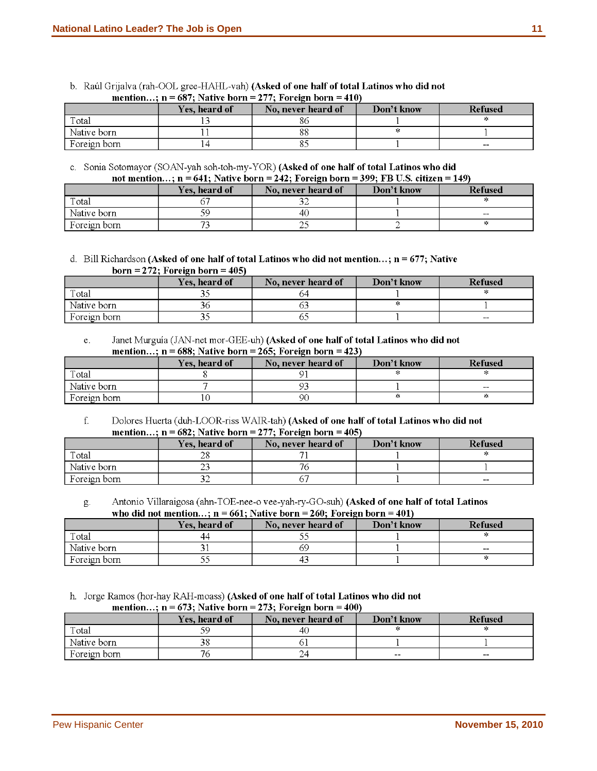| mention; $n = 687$ ; Native born = 277; Foreign born = 410) |               |                    |            |                |  |  |  |  |  |
|-------------------------------------------------------------|---------------|--------------------|------------|----------------|--|--|--|--|--|
|                                                             | Yes, heard of | No. never heard of | Don't know | <b>Refused</b> |  |  |  |  |  |
| Total                                                       |               | ХC                 |            |                |  |  |  |  |  |
| Native born                                                 |               | 88                 |            |                |  |  |  |  |  |
| Foreign born                                                |               |                    |            | $- -$          |  |  |  |  |  |

b. Raúl Grijalva (rah-OOL gree-HAHL-vah) (Asked of one half of total Latinos who did not<br>mention :  $n = 687$ : Native born = 277: Foreign born = 410)

c. Sonia Sotomayor (SOAN-yah soh-toh-my-YOR) (Asked of one half of total Latinos who did<br>not mention :  $n = 641$ : Native born = 242; Foreign born = 300; FB II S, citizen = 1

| not mention; $n = 641$ ; Native born = 242; Foreign born = 399; FB U.S. citizen = 149) |               |                    |            |                |  |  |  |  |  |
|----------------------------------------------------------------------------------------|---------------|--------------------|------------|----------------|--|--|--|--|--|
|                                                                                        | Yes, heard of | No. never heard of | Don't know | <b>Refused</b> |  |  |  |  |  |
| Total                                                                                  |               |                    |            |                |  |  |  |  |  |
| Native born                                                                            |               | 40                 |            | --             |  |  |  |  |  |
| Foreign born                                                                           |               |                    |            |                |  |  |  |  |  |

d. Bill Richardson (Asked of one half of total Latinos who did not mention...;  $n = 677$ ; Native

|  |  | born = 272; Foreign born = 405) |  |
|--|--|---------------------------------|--|
|--|--|---------------------------------|--|

|              | Yes, heard of | No. never heard of | Don't know | Refused |
|--------------|---------------|--------------------|------------|---------|
| Total        | ້             |                    |            |         |
| Native born  | эt            |                    |            |         |
| Foreign born | - -           | --                 |            | $- -$   |

Janet Murguía (JAN-net mor-GEE-uh) (Asked of one half of total Latinos who did not  $\mathbf{e}$ . mention...;  $n = 688$ ; Native born = 265; Foreign born = 423)

|              | Yes, heard of | No, never heard of | Don't know | <b>Refused</b> |
|--------------|---------------|--------------------|------------|----------------|
| Total        |               |                    |            |                |
| Native born  |               |                    |            | --             |
| Foreign born |               | 90                 |            |                |

 $f$ . Dolores Huerta (duh-LOOR-riss WAIR-tah) (Asked of one half of total Latinos who did not mention...;  $n = 682$ ; Native born = 277; Foreign born = 405)

|              | Yes, heard of | No. never heard of | Don't know | Refused |
|--------------|---------------|--------------------|------------|---------|
| Total        | σ.<br>∠о      |                    |            |         |
| Native born  | ~~<br>ر ت     |                    |            |         |
| Foreign born |               |                    |            | $- -$   |

Antonio Villaraigosa (ahn-TOE-nee-o vee-yah-ry-GO-suh) (Asked of one half of total Latinos g. who did not mention...;  $n = 661$ ; Native born = 260; Foreign born = 401)

|              | Yes, heard of | No. never heard of | Don't know | <b>Refused</b> |
|--------------|---------------|--------------------|------------|----------------|
| Total        | 44            |                    |            |                |
| Native born  |               | 69                 |            | $- -$          |
| Foreign born | ب ب           |                    |            |                |

h. Jorge Ramos (hor-hay RAH-moass) (Asked of one half of total Latinos who did not<br>mention :  $n = 673$ : Native horn = 273: Foreign horn = 400)

| mention; $n = 6/3$ ; Native born = 2/3; Foreign born = 400) |               |                    |            |                |
|-------------------------------------------------------------|---------------|--------------------|------------|----------------|
|                                                             | Yes, heard of | No, never heard of | Don't know | <b>Refused</b> |
| Total                                                       |               |                    |            |                |
| Native born                                                 |               |                    |            |                |
| Foreign born                                                |               |                    | $- -$      | $- -$          |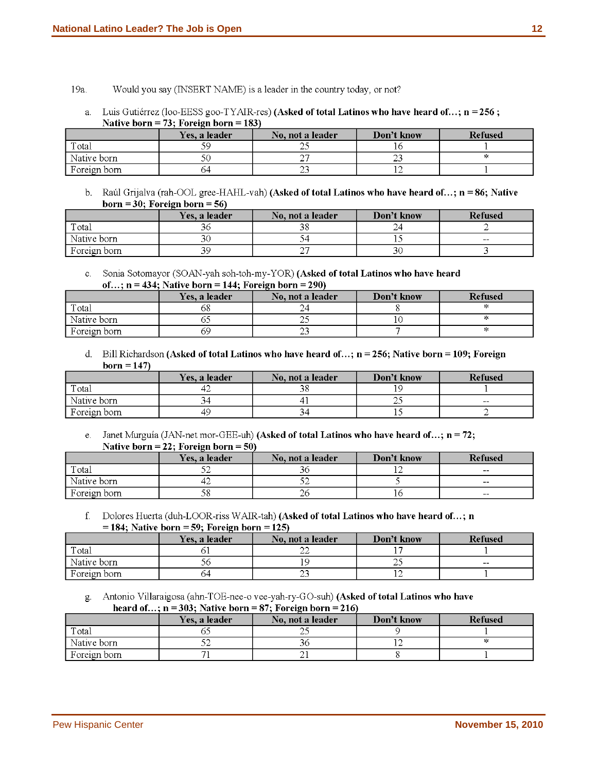- 19a. Would you say (INSERT NAME) is a leader in the country today, or not?
	- Luis Gutiérrez (loo-EESS goo-TYAIR-res) (Asked of total Latinos who have heard of...; n = 256; a. Native born = 73; Foreign born = 183)

|              | Yes. a leader | No. not a leader | Don't know | <b>Refused</b> |
|--------------|---------------|------------------|------------|----------------|
| Total        |               | ب                |            |                |
| Native born  |               |                  |            |                |
| Foreign born | 64            | ر بے             |            |                |

b. Raúl Grijalva (rah-OOL gree-HAHL-vah) (Asked of total Latinos who have heard of...;  $n = 86$ ; Native born = 30; Foreign born =  $56$ )

|                | Yes, a leader | No, not a leader | Don't know | <b>Refused</b> |
|----------------|---------------|------------------|------------|----------------|
| Total          |               |                  |            |                |
| l Native born  | ЭU            |                  |            | $- -$          |
| . Foreign born |               |                  |            |                |

c. Sonia Sotomayor (SOAN-yah soh-toh-my-YOR) (Asked of total Latinos who have heard of  $n = 434$  Native horn =  $144$  Foreign horn = 290)

| $101$ , $11 - 101$ , $1140111$ $101111 - 1111$ , $110111211$ $100111 - 2001$ |               |                  |            |                |
|------------------------------------------------------------------------------|---------------|------------------|------------|----------------|
|                                                                              | Yes. a leader | No, not a leader | Don't know | <b>Refused</b> |
| Total                                                                        | Dδ            |                  |            |                |
| Native born                                                                  |               |                  |            |                |
| Foreign born                                                                 | 69            | ر ب              |            |                |

d. Bill Richardson (Asked of total Latinos who have heard of...;  $n = 256$ ; Native born = 109; Foreign  $born = 147$ 

|              | Yes. a leader | No, not a leader | Don't know | <b>Refused</b> |
|--------------|---------------|------------------|------------|----------------|
| Total        | 44            |                  |            |                |
| Native born  |               |                  | ~          | $- -$          |
| Foreign born | 49            |                  |            |                |

Janet Murguía (JAN-net mor-GEE-uh) (Asked of total Latinos who have heard of...; n = 72;  $e<sub>1</sub>$ Native born = 22; Foreign born = 50)

|              | Yes. a leader | No. not a leader | Don't know | Refused |
|--------------|---------------|------------------|------------|---------|
| Total        |               |                  |            | $- -$   |
| Native born  | 42            | ◡                |            | $- -$   |
| Foreign born | 58            | ZU               |            | $- -$   |

f. Dolores Huerta (duh-LOOR-riss WAIR-tah) (Asked of total Latinos who have heard of...; n

 $= 184$ ; Native born  $= 59$ ; Foreign born  $= 125$ )

|              | Yes, a leader | No. not a leader | Don't know | <b>Refused</b> |
|--------------|---------------|------------------|------------|----------------|
| Total        |               | ∠∠               |            |                |
| Native born  |               |                  | <u>_</u>   | $- -$          |
| Foreign born | 54            | رے               |            |                |

Antonio Villaraigosa (ahn-TOE-nee-o vee-yah-ry-GO-suh) (Asked of total Latinos who have g.

| heard of; $n = 303$ ; Native born = 87; Foreign born = 216) |               |                  |            |                |
|-------------------------------------------------------------|---------------|------------------|------------|----------------|
|                                                             | Yes, a leader | No. not a leader | Don't know | <b>Refused</b> |
| Total                                                       |               |                  |            |                |
| Native born                                                 |               |                  |            |                |
| Foreign born                                                |               |                  |            |                |